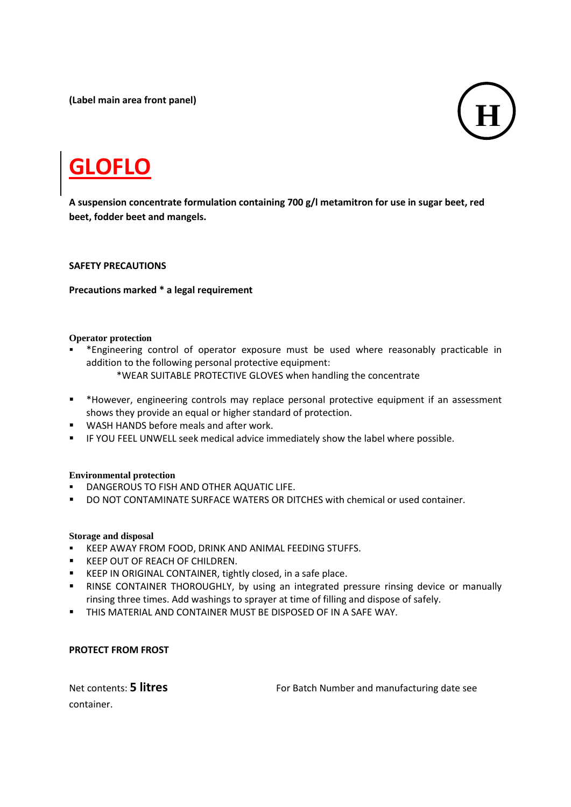**(Label main area front panel)**



# **GLOFLO**

**A suspension concentrate formulation containing 700 g/l metamitron for use in sugar beet, red beet, fodder beet and mangels.**

#### **SAFETY PRECAUTIONS**

#### **Precautions marked \* a legal requirement**

#### **Operator protection**

- \*Engineering control of operator exposure must be used where reasonably practicable in addition to the following personal protective equipment: \*WEAR SUITABLE PROTECTIVE GLOVES when handling the concentrate
- \*However, engineering controls may replace personal protective equipment if an assessment
- shows they provide an equal or higher standard of protection.
- **WASH HANDS before meals and after work.**
- IF YOU FEEL UNWELL seek medical advice immediately show the label where possible.

#### **Environmental protection**

- **DANGEROUS TO FISH AND OTHER AQUATIC LIFE.**
- DO NOT CONTAMINATE SURFACE WATERS OR DITCHES with chemical or used container.

#### **Storage and disposal**

- **KEEP AWAY FROM FOOD, DRINK AND ANIMAL FEEDING STUFFS.**
- **KEEP OUT OF REACH OF CHILDREN.**
- **EXECTED IN ORIGINAL CONTAINER, tightly closed, in a safe place.**
- **RINSE CONTAINER THOROUGHLY, by using an integrated pressure rinsing device or manually** rinsing three times. Add washings to sprayer at time of filling and dispose of safely.
- **THIS MATERIAL AND CONTAINER MUST BE DISPOSED OF IN A SAFE WAY.**

#### **PROTECT FROM FROST**

container.

Net contents: **5 litres For Batch Number and manufacturing date see**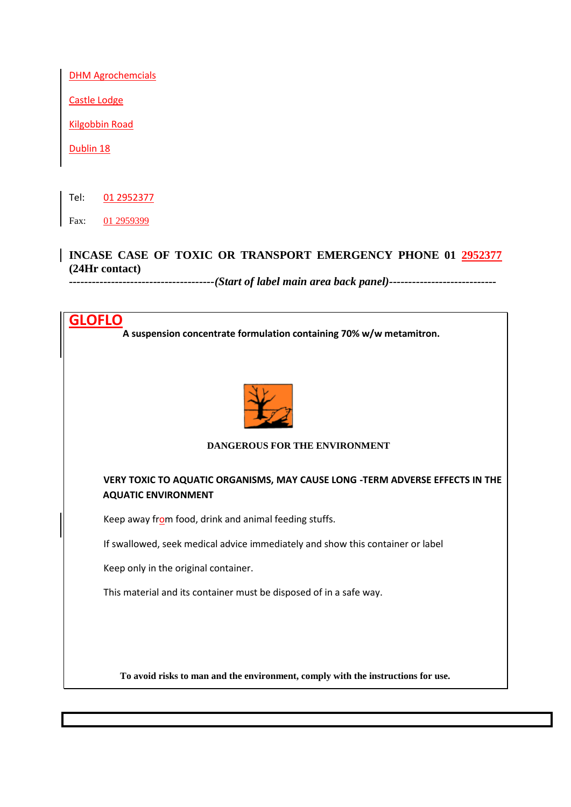**DHM Agrochemcials** 

Castle Lodge

Kilgobbin Road

Dublin 18

Tel: 01 2952377

Fax: 01 2959399

# **INCASE CASE OF TOXIC OR TRANSPORT EMERGENCY PHONE 01 2952377 (24Hr contact)**

*--------------------------------------(Start of label main area back panel)----------------------------*

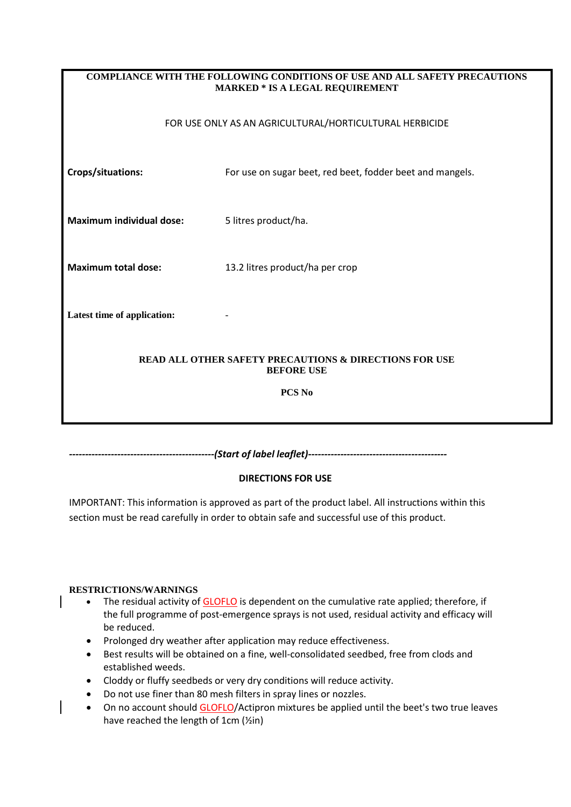| <b>COMPLIANCE WITH THE FOLLOWING CONDITIONS OF USE AND ALL SAFETY PRECAUTIONS</b><br><b>MARKED * IS A LEGAL REQUIREMENT</b> |                                                           |  |  |  |  |
|-----------------------------------------------------------------------------------------------------------------------------|-----------------------------------------------------------|--|--|--|--|
|                                                                                                                             | FOR USE ONLY AS AN AGRICULTURAL/HORTICULTURAL HERBICIDE   |  |  |  |  |
| Crops/situations:                                                                                                           | For use on sugar beet, red beet, fodder beet and mangels. |  |  |  |  |
| <b>Maximum individual dose:</b><br>5 litres product/ha.                                                                     |                                                           |  |  |  |  |
| <b>Maximum total dose:</b>                                                                                                  | 13.2 litres product/ha per crop                           |  |  |  |  |
| Latest time of application:                                                                                                 |                                                           |  |  |  |  |
| <b>READ ALL OTHER SAFETY PRECAUTIONS &amp; DIRECTIONS FOR USE</b><br><b>BEFORE USE</b>                                      |                                                           |  |  |  |  |
| PCS <sub>No</sub>                                                                                                           |                                                           |  |  |  |  |

*---------------------------------------------(Start of label leaflet)-------------------------------------------*

## **DIRECTIONS FOR USE**

IMPORTANT: This information is approved as part of the product label. All instructions within this section must be read carefully in order to obtain safe and successful use of this product.

#### **RESTRICTIONS/WARNINGS**

- The residual activity of GLOFLO is dependent on the cumulative rate applied; therefore, if the full programme of post-emergence sprays is not used, residual activity and efficacy will be reduced.
- Prolonged dry weather after application may reduce effectiveness.
- Best results will be obtained on a fine, well-consolidated seedbed, free from clods and established weeds.
- Cloddy or fluffy seedbeds or very dry conditions will reduce activity.
- Do not use finer than 80 mesh filters in spray lines or nozzles.
- On no account should GLOFLO/Actipron mixtures be applied until the beet's two true leaves have reached the length of 1cm (½in)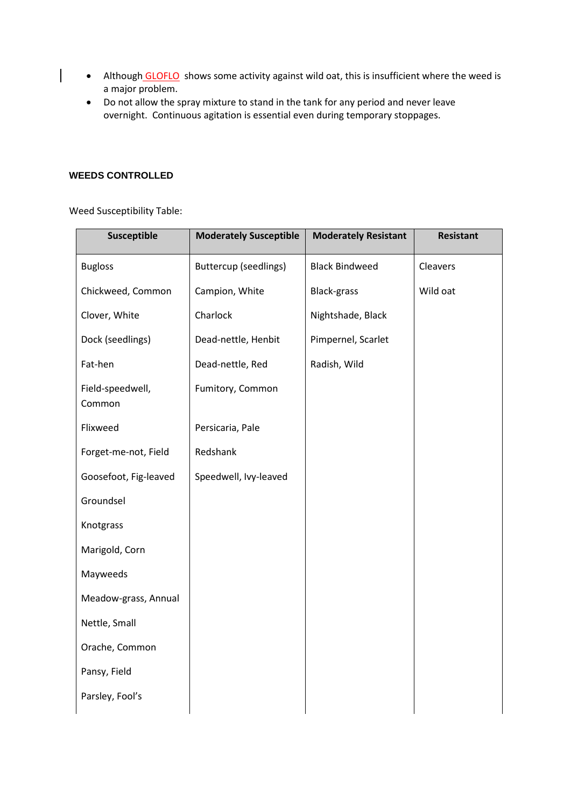- Although GLOFLO shows some activity against wild oat, this is insufficient where the weed is a major problem.
- Do not allow the spray mixture to stand in the tank for any period and never leave overnight. Continuous agitation is essential even during temporary stoppages.

#### **WEEDS CONTROLLED**

 $\overline{\phantom{a}}$ 

Weed Susceptibility Table:

| Susceptible                | <b>Moderately Susceptible</b> | <b>Moderately Resistant</b> | <b>Resistant</b> |
|----------------------------|-------------------------------|-----------------------------|------------------|
| <b>Bugloss</b>             | <b>Buttercup (seedlings)</b>  | <b>Black Bindweed</b>       | Cleavers         |
| Chickweed, Common          | Campion, White                | <b>Black-grass</b>          |                  |
| Clover, White              | Charlock                      | Nightshade, Black           |                  |
| Dock (seedlings)           | Dead-nettle, Henbit           | Pimpernel, Scarlet          |                  |
| Fat-hen                    | Dead-nettle, Red              | Radish, Wild                |                  |
| Field-speedwell,<br>Common | Fumitory, Common              |                             |                  |
| Flixweed                   | Persicaria, Pale              |                             |                  |
| Forget-me-not, Field       | Redshank                      |                             |                  |
| Goosefoot, Fig-leaved      | Speedwell, Ivy-leaved         |                             |                  |
| Groundsel                  |                               |                             |                  |
| Knotgrass                  |                               |                             |                  |
| Marigold, Corn             |                               |                             |                  |
| Mayweeds                   |                               |                             |                  |
| Meadow-grass, Annual       |                               |                             |                  |
| Nettle, Small              |                               |                             |                  |
| Orache, Common             |                               |                             |                  |
| Pansy, Field               |                               |                             |                  |
| Parsley, Fool's            |                               |                             |                  |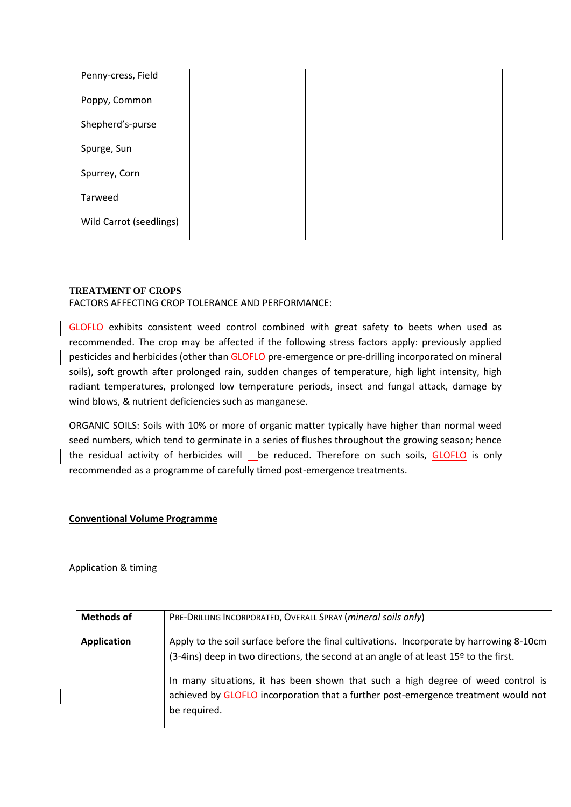| Penny-cress, Field      |  |  |
|-------------------------|--|--|
| Poppy, Common           |  |  |
| Shepherd's-purse        |  |  |
| Spurge, Sun             |  |  |
| Spurrey, Corn           |  |  |
| Tarweed                 |  |  |
| Wild Carrot (seedlings) |  |  |

#### **TREATMENT OF CROPS**

FACTORS AFFECTING CROP TOLERANCE AND PERFORMANCE:

GLOFLO exhibits consistent weed control combined with great safety to beets when used as recommended. The crop may be affected if the following stress factors apply: previously applied pesticides and herbicides (other than GLOFLO pre-emergence or pre-drilling incorporated on mineral soils), soft growth after prolonged rain, sudden changes of temperature, high light intensity, high radiant temperatures, prolonged low temperature periods, insect and fungal attack, damage by wind blows, & nutrient deficiencies such as manganese.

ORGANIC SOILS: Soils with 10% or more of organic matter typically have higher than normal weed seed numbers, which tend to germinate in a series of flushes throughout the growing season; hence the residual activity of herbicides will \_\_ be reduced. Therefore on such soils, GLOFLO is only recommended as a programme of carefully timed post-emergence treatments.

#### **Conventional Volume Programme**

Application & timing

| <b>Methods of</b>  | PRE-DRILLING INCORPORATED, OVERALL SPRAY (mineral soils only)                                                                                                                          |
|--------------------|----------------------------------------------------------------------------------------------------------------------------------------------------------------------------------------|
| <b>Application</b> | Apply to the soil surface before the final cultivations. Incorporate by harrowing 8-10cm<br>(3-4ins) deep in two directions, the second at an angle of at least 15º to the first.      |
|                    | In many situations, it has been shown that such a high degree of weed control is<br>achieved by GLOFLO incorporation that a further post-emergence treatment would not<br>be required. |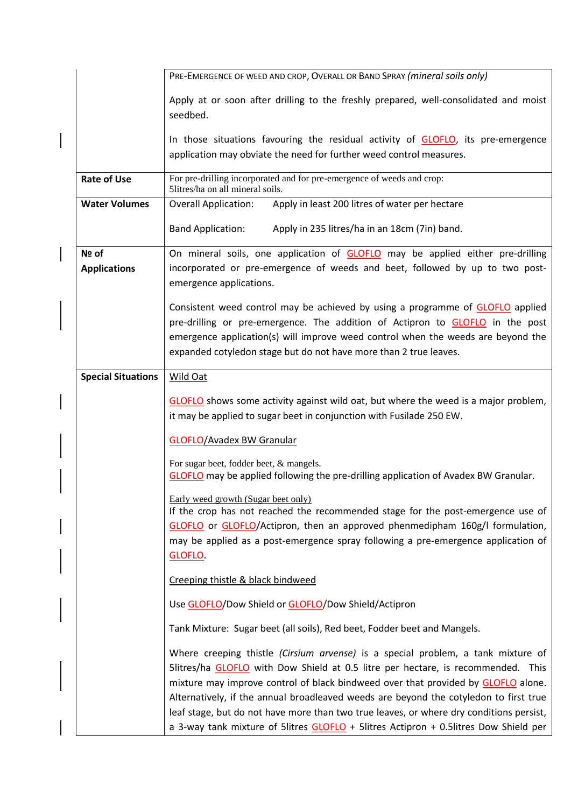|                           | PRE-EMERGENCE OF WEED AND CROP, OVERALL OR BAND SPRAY (mineral soils only)                                                                                                                                                                                                                                                                                                                                                                                                                                                            |
|---------------------------|---------------------------------------------------------------------------------------------------------------------------------------------------------------------------------------------------------------------------------------------------------------------------------------------------------------------------------------------------------------------------------------------------------------------------------------------------------------------------------------------------------------------------------------|
|                           | Apply at or soon after drilling to the freshly prepared, well-consolidated and moist<br>seedbed.                                                                                                                                                                                                                                                                                                                                                                                                                                      |
|                           | In those situations favouring the residual activity of GLOFLO, its pre-emergence<br>application may obviate the need for further weed control measures.                                                                                                                                                                                                                                                                                                                                                                               |
| <b>Rate of Use</b>        | For pre-drilling incorporated and for pre-emergence of weeds and crop:<br>5litres/ha on all mineral soils.                                                                                                                                                                                                                                                                                                                                                                                                                            |
| <b>Water Volumes</b>      | Apply in least 200 litres of water per hectare<br><b>Overall Application:</b>                                                                                                                                                                                                                                                                                                                                                                                                                                                         |
|                           | Apply in 235 litres/ha in an 18cm (7in) band.<br><b>Band Application:</b>                                                                                                                                                                                                                                                                                                                                                                                                                                                             |
| Nº of                     | On mineral soils, one application of <b>GLOFLO</b> may be applied either pre-drilling                                                                                                                                                                                                                                                                                                                                                                                                                                                 |
| <b>Applications</b>       | incorporated or pre-emergence of weeds and beet, followed by up to two post-<br>emergence applications.                                                                                                                                                                                                                                                                                                                                                                                                                               |
|                           | Consistent weed control may be achieved by using a programme of <b>GLOFLO</b> applied                                                                                                                                                                                                                                                                                                                                                                                                                                                 |
|                           | pre-drilling or pre-emergence. The addition of Actipron to GLOFLO in the post                                                                                                                                                                                                                                                                                                                                                                                                                                                         |
|                           | emergence application(s) will improve weed control when the weeds are beyond the                                                                                                                                                                                                                                                                                                                                                                                                                                                      |
|                           | expanded cotyledon stage but do not have more than 2 true leaves.                                                                                                                                                                                                                                                                                                                                                                                                                                                                     |
| <b>Special Situations</b> | <b>Wild Oat</b>                                                                                                                                                                                                                                                                                                                                                                                                                                                                                                                       |
|                           | GLOFLO shows some activity against wild oat, but where the weed is a major problem,<br>it may be applied to sugar beet in conjunction with Fusilade 250 EW.                                                                                                                                                                                                                                                                                                                                                                           |
|                           | <b>GLOFLO/Avadex BW Granular</b>                                                                                                                                                                                                                                                                                                                                                                                                                                                                                                      |
|                           | For sugar beet, fodder beet, & mangels.<br>GLOFLO may be applied following the pre-drilling application of Avadex BW Granular.                                                                                                                                                                                                                                                                                                                                                                                                        |
|                           | Early weed growth (Sugar beet only)<br>If the crop has not reached the recommended stage for the post-emergence use of<br>GLOFLO or GLOFLO/Actipron, then an approved phenmedipham 160g/I formulation,<br>may be applied as a post-emergence spray following a pre-emergence application of<br>GLOFLO.                                                                                                                                                                                                                                |
|                           | Creeping thistle & black bindweed                                                                                                                                                                                                                                                                                                                                                                                                                                                                                                     |
|                           | Use GLOFLO/Dow Shield or GLOFLO/Dow Shield/Actipron                                                                                                                                                                                                                                                                                                                                                                                                                                                                                   |
|                           | Tank Mixture: Sugar beet (all soils), Red beet, Fodder beet and Mangels.                                                                                                                                                                                                                                                                                                                                                                                                                                                              |
|                           | Where creeping thistle (Cirsium arvense) is a special problem, a tank mixture of<br>5litres/ha GLOFLO with Dow Shield at 0.5 litre per hectare, is recommended. This<br>mixture may improve control of black bindweed over that provided by GLOFLO alone.<br>Alternatively, if the annual broadleaved weeds are beyond the cotyledon to first true<br>leaf stage, but do not have more than two true leaves, or where dry conditions persist,<br>a 3-way tank mixture of 5litres GLOFLO + 5litres Actipron + 0.5litres Dow Shield per |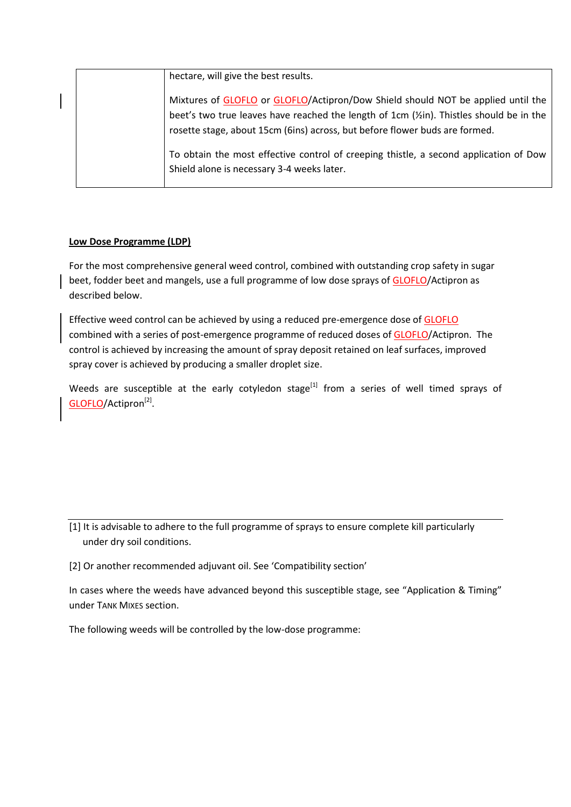|  | hectare, will give the best results.                                                                                                                                                                                                                                    |
|--|-------------------------------------------------------------------------------------------------------------------------------------------------------------------------------------------------------------------------------------------------------------------------|
|  | Mixtures of GLOFLO or GLOFLO/Actipron/Dow Shield should NOT be applied until the<br>beet's two true leaves have reached the length of 1cm ( $\frac{1}{2}$ in). Thistles should be in the<br>rosette stage, about 15cm (6ins) across, but before flower buds are formed. |
|  | To obtain the most effective control of creeping thistle, a second application of Dow<br>Shield alone is necessary 3-4 weeks later.                                                                                                                                     |

#### **Low Dose Programme (LDP)**

For the most comprehensive general weed control, combined with outstanding crop safety in sugar beet, fodder beet and mangels, use a full programme of low dose sprays of GLOFLO/Actipron as described below.

Effective weed control can be achieved by using a reduced pre-emergence dose of **GLOFLO** combined with a series of post-emergence programme of reduced doses of GLOFLO/Actipron. The control is achieved by increasing the amount of spray deposit retained on leaf surfaces, improved spray cover is achieved by producing a smaller droplet size.

Weeds are susceptible at the early cotyledon stage<sup>[1]</sup> from a series of well timed sprays of GLOFLO/Actipron<sup>[2]</sup>.

[1] It is advisable to adhere to the full programme of sprays to ensure complete kill particularly under dry soil conditions.

[2] Or another recommended adjuvant oil. See 'Compatibility section'

In cases where the weeds have advanced beyond this susceptible stage, see "Application & Timing" under TANK MIXES section.

The following weeds will be controlled by the low-dose programme: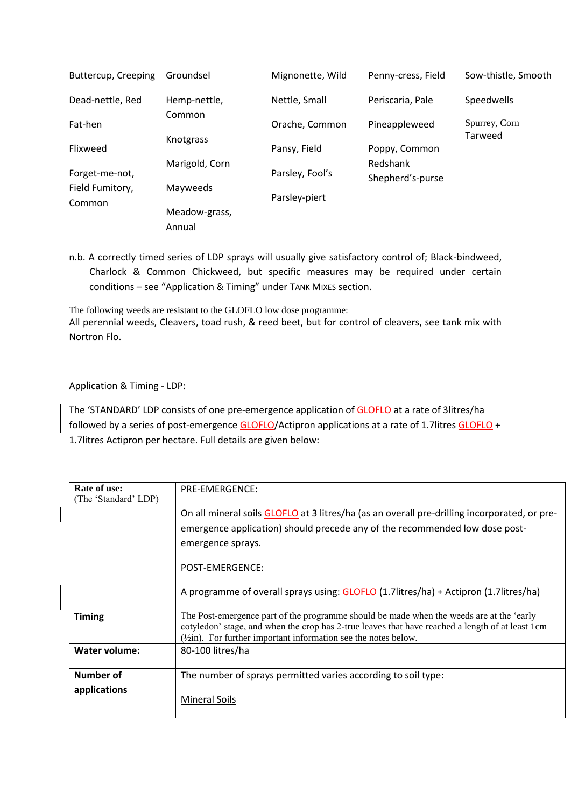| Buttercup, Creeping       | Groundsel               | Mignonette, Wild | Penny-cress, Field           | Sow-thistle, Smooth      |
|---------------------------|-------------------------|------------------|------------------------------|--------------------------|
| Dead-nettle, Red          | Hemp-nettle,            | Nettle, Small    | Periscaria, Pale             | Speedwells               |
| Fat-hen                   | Common                  | Orache, Common   | Pineappleweed                | Spurrey, Corn<br>Tarweed |
| Flixweed                  | Knotgrass               | Pansy, Field     | Poppy, Common                |                          |
| Forget-me-not,            | Marigold, Corn          | Parsley, Fool's  | Redshank<br>Shepherd's-purse |                          |
| Field Fumitory,<br>Common | Mayweeds                | Parsley-piert    |                              |                          |
|                           | Meadow-grass,<br>Annual |                  |                              |                          |

n.b. A correctly timed series of LDP sprays will usually give satisfactory control of; Black-bindweed, Charlock & Common Chickweed, but specific measures may be required under certain conditions – see "Application & Timing" under TANK MIXES section.

The following weeds are resistant to the GLOFLO low dose programme: All perennial weeds, Cleavers, toad rush, & reed beet, but for control of cleavers, see tank mix with Nortron Flo.

#### Application & Timing - LDP:

The 'STANDARD' LDP consists of one pre-emergence application of GLOFLO at a rate of 3litres/ha followed by a series of post-emergence GLOFLO/Actipron applications at a rate of 1.7litres GLOFLO + 1.7litres Actipron per hectare. Full details are given below:

| Rate of use:<br>(The 'Standard' LDP) | <b>PRE-EMERGENCE:</b>                                                                                                                                                                                                                                                      |
|--------------------------------------|----------------------------------------------------------------------------------------------------------------------------------------------------------------------------------------------------------------------------------------------------------------------------|
|                                      | On all mineral soils GLOFLO at 3 litres/ha (as an overall pre-drilling incorporated, or pre-<br>emergence application) should precede any of the recommended low dose post-<br>emergence sprays.                                                                           |
|                                      | POST-EMERGENCE:                                                                                                                                                                                                                                                            |
|                                      | A programme of overall sprays using: GLOFLO (1.7litres/ha) + Actipron (1.7litres/ha)                                                                                                                                                                                       |
| <b>Timing</b>                        | The Post-emergence part of the programme should be made when the weeds are at the 'early<br>cotyledon' stage, and when the crop has 2-true leaves that have reached a length of at least 1cm<br>$(\frac{1}{2}in)$ . For further important information see the notes below. |
| Water volume:                        | 80-100 litres/ha                                                                                                                                                                                                                                                           |
| Number of<br>applications            | The number of sprays permitted varies according to soil type:<br><b>Mineral Soils</b>                                                                                                                                                                                      |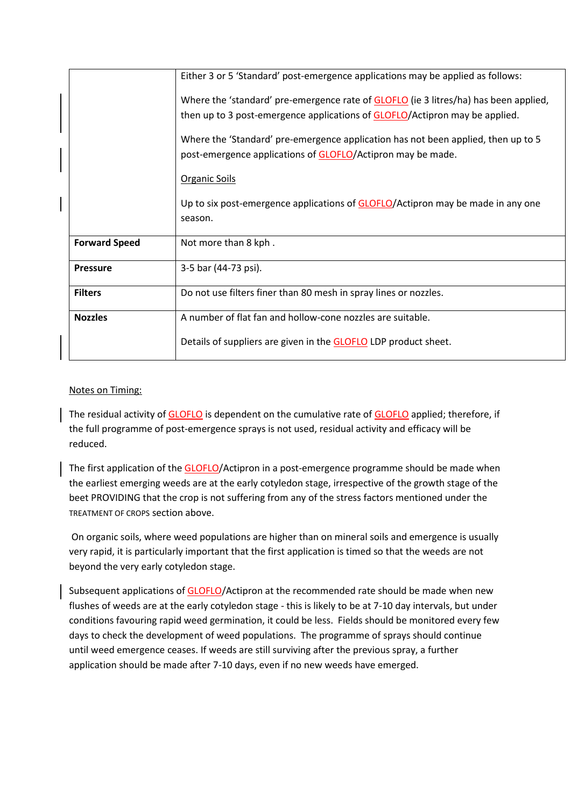|                      | Either 3 or 5 'Standard' post-emergence applications may be applied as follows:         |
|----------------------|-----------------------------------------------------------------------------------------|
|                      | Where the 'standard' pre-emergence rate of GLOFLO (ie 3 litres/ha) has been applied,    |
|                      | then up to 3 post-emergence applications of GLOFLO/Actipron may be applied.             |
|                      | Where the 'Standard' pre-emergence application has not been applied, then up to 5       |
|                      | post-emergence applications of GLOFLO/Actipron may be made.                             |
|                      | Organic Soils                                                                           |
|                      | Up to six post-emergence applications of <b>GLOFLO</b> /Actipron may be made in any one |
|                      | season.                                                                                 |
| <b>Forward Speed</b> | Not more than 8 kph.                                                                    |
| <b>Pressure</b>      | 3-5 bar (44-73 psi).                                                                    |
| <b>Filters</b>       | Do not use filters finer than 80 mesh in spray lines or nozzles.                        |
| <b>Nozzles</b>       | A number of flat fan and hollow-cone nozzles are suitable.                              |
|                      | Details of suppliers are given in the <b>GLOFLO</b> LDP product sheet.                  |

### Notes on Timing:

The residual activity of GLOFLO is dependent on the cumulative rate of GLOFLO applied; therefore, if the full programme of post-emergence sprays is not used, residual activity and efficacy will be reduced.

The first application of the GLOFLO/Actipron in a post-emergence programme should be made when the earliest emerging weeds are at the early cotyledon stage, irrespective of the growth stage of the beet PROVIDING that the crop is not suffering from any of the stress factors mentioned under the TREATMENT OF CROPS section above.

On organic soils, where weed populations are higher than on mineral soils and emergence is usually very rapid, it is particularly important that the first application is timed so that the weeds are not beyond the very early cotyledon stage.

Subsequent applications of GLOFLO/Actipron at the recommended rate should be made when new flushes of weeds are at the early cotyledon stage - this is likely to be at 7-10 day intervals, but under conditions favouring rapid weed germination, it could be less. Fields should be monitored every few days to check the development of weed populations. The programme of sprays should continue until weed emergence ceases. If weeds are still surviving after the previous spray, a further application should be made after 7-10 days, even if no new weeds have emerged.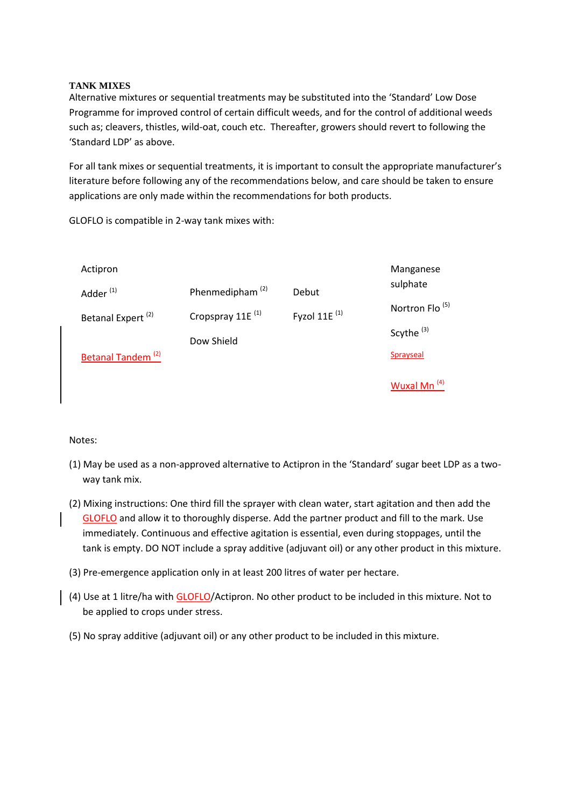#### **TANK MIXES**

Alternative mixtures or sequential treatments may be substituted into the 'Standard' Low Dose Programme for improved control of certain difficult weeds, and for the control of additional weeds such as; cleavers, thistles, wild-oat, couch etc. Thereafter, growers should revert to following the 'Standard LDP' as above.

For all tank mixes or sequential treatments, it is important to consult the appropriate manufacturer's literature before following any of the recommendations below, and care should be taken to ensure applications are only made within the recommendations for both products.

Actipron Adder (1) Betanal Expert (2) Betanal Tandem (2) Phenmedipham (2) Cropspray 11E<sup>(1)</sup> Dow Shield Debut Fyzol  $11E$ <sup>(1)</sup> Manganese sulphate Nortron Flo<sup>(5)</sup> Scythe<sup>(3)</sup> Sprayseal Wuxal Mn (4)

GLOFLO is compatible in 2-way tank mixes with:

#### Notes:

- (1) May be used as a non-approved alternative to Actipron in the 'Standard' sugar beet LDP as a twoway tank mix.
- (2) Mixing instructions: One third fill the sprayer with clean water, start agitation and then add the GLOFLO and allow it to thoroughly disperse. Add the partner product and fill to the mark. Use immediately. Continuous and effective agitation is essential, even during stoppages, until the tank is empty. DO NOT include a spray additive (adjuvant oil) or any other product in this mixture.
- (3) Pre-emergence application only in at least 200 litres of water per hectare.
- (4) Use at 1 litre/ha with GLOFLO/Actipron. No other product to be included in this mixture. Not to be applied to crops under stress.
- (5) No spray additive (adjuvant oil) or any other product to be included in this mixture.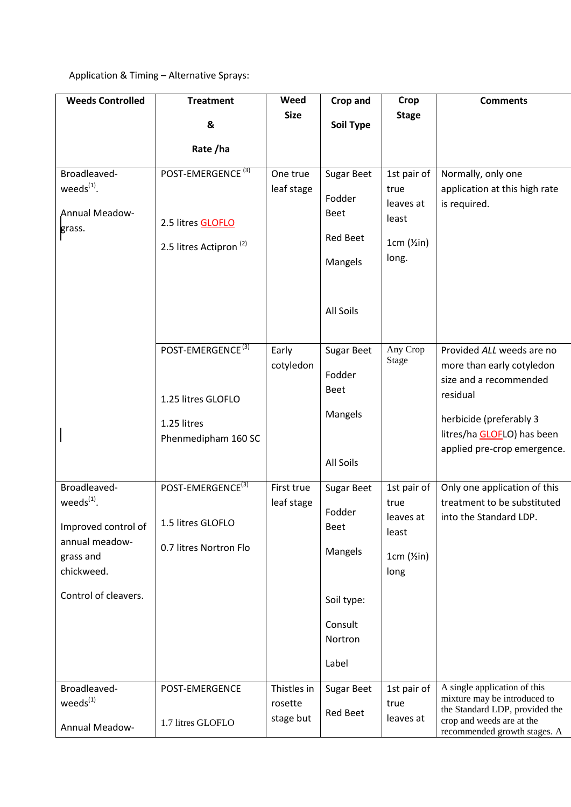# Application & Timing – Alternative Sprays:

| <b>Weeds Controlled</b>               | <b>Treatment</b>                   | Weed                 | Crop and          | <b>Crop</b>               | <b>Comments</b>                                              |
|---------------------------------------|------------------------------------|----------------------|-------------------|---------------------------|--------------------------------------------------------------|
|                                       | &                                  | <b>Size</b>          | Soil Type         | <b>Stage</b>              |                                                              |
|                                       |                                    |                      |                   |                           |                                                              |
|                                       | Rate/ha                            |                      |                   |                           |                                                              |
| Broadleaved-                          | POST-EMERGENCE <sup>(3)</sup>      | One true             | <b>Sugar Beet</b> | 1st pair of               | Normally, only one                                           |
| weeds $(1)$ .                         |                                    | leaf stage           | Fodder            | true<br>leaves at         | application at this high rate<br>is required.                |
| <b>Annual Meadow-</b>                 | 2.5 litres <b>GLOFLO</b>           |                      | <b>Beet</b>       | least                     |                                                              |
| grass.                                | 2.5 litres Actipron <sup>(2)</sup> |                      | <b>Red Beet</b>   | $1cm$ ( $\frac{1}{2}in$ ) |                                                              |
|                                       |                                    |                      | Mangels           | long.                     |                                                              |
|                                       |                                    |                      |                   |                           |                                                              |
|                                       |                                    |                      | All Soils         |                           |                                                              |
|                                       |                                    |                      |                   |                           |                                                              |
|                                       | POST-EMERGENCE <sup>(3)</sup>      | Early                | <b>Sugar Beet</b> | Any Crop                  | Provided ALL weeds are no                                    |
|                                       |                                    | cotyledon            | Fodder            | <b>Stage</b>              | more than early cotyledon                                    |
|                                       |                                    |                      | Beet              |                           | size and a recommended<br>residual                           |
|                                       | 1.25 litres GLOFLO                 |                      | Mangels           |                           |                                                              |
|                                       | 1.25 litres<br>Phenmedipham 160 SC |                      |                   |                           | herbicide (preferably 3<br>litres/ha GLOFLO) has been        |
|                                       |                                    |                      |                   |                           | applied pre-crop emergence.                                  |
|                                       |                                    |                      | All Soils         |                           |                                                              |
| Broadleaved-                          | POST-EMERGENCE <sup>(3)</sup>      | First true           | <b>Sugar Beet</b> | 1st pair of               | Only one application of this                                 |
| weeds $(1)$ .                         |                                    | leaf stage           | Fodder            | true<br>leaves at         | treatment to be substituted<br>into the Standard LDP.        |
| Improved control of<br>annual meadow- | 1.5 litres GLOFLO                  |                      | <b>Beet</b>       | least                     |                                                              |
| grass and                             | 0.7 litres Nortron Flo             |                      | Mangels           | $1cm$ ( $\frac{1}{2}in$ ) |                                                              |
| chickweed.                            |                                    |                      |                   | long                      |                                                              |
| Control of cleavers.                  |                                    |                      | Soil type:        |                           |                                                              |
|                                       |                                    |                      | Consult           |                           |                                                              |
|                                       |                                    |                      | Nortron           |                           |                                                              |
|                                       |                                    |                      | Label             |                           |                                                              |
| Broadleaved-                          | POST-EMERGENCE                     | Thistles in          | <b>Sugar Beet</b> | 1st pair of               | A single application of this<br>mixture may be introduced to |
| weeds <sup>(1)</sup>                  |                                    | rosette<br>stage but | <b>Red Beet</b>   | true<br>leaves at         | the Standard LDP, provided the                               |
| Annual Meadow-                        | 1.7 litres GLOFLO                  |                      |                   |                           | crop and weeds are at the<br>recommended growth stages. A    |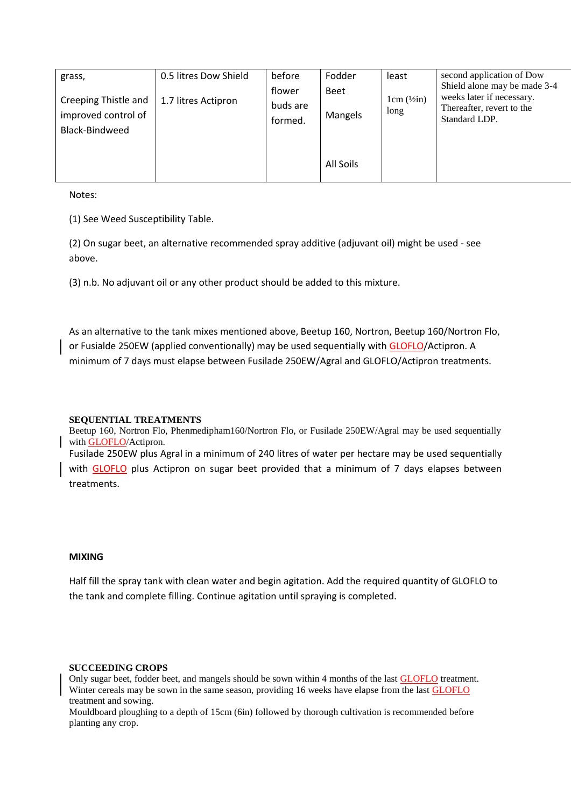| grass,                                                        | 0.5 litres Dow Shield | before                        | Fodder          | least                             | second application of Dow                                                                               |
|---------------------------------------------------------------|-----------------------|-------------------------------|-----------------|-----------------------------------|---------------------------------------------------------------------------------------------------------|
| Creeping Thistle and<br>improved control of<br>Black-Bindweed | 1.7 litres Actipron   | flower<br>buds are<br>formed. | Beet<br>Mangels | $1cm$ ( $\frac{1}{2}$ in)<br>long | Shield alone may be made 3-4<br>weeks later if necessary.<br>Thereafter, revert to the<br>Standard LDP. |
|                                                               |                       |                               | All Soils       |                                   |                                                                                                         |

Notes:

(1) See Weed Susceptibility Table.

(2) On sugar beet, an alternative recommended spray additive (adjuvant oil) might be used - see above.

(3) n.b. No adjuvant oil or any other product should be added to this mixture.

As an alternative to the tank mixes mentioned above, Beetup 160, Nortron, Beetup 160/Nortron Flo, or Fusialde 250EW (applied conventionally) may be used sequentially with GLOFLO/Actipron. A minimum of 7 days must elapse between Fusilade 250EW/Agral and GLOFLO/Actipron treatments.

#### **SEQUENTIAL TREATMENTS**

Beetup 160, Nortron Flo, Phenmedipham160/Nortron Flo, or Fusilade 250EW/Agral may be used sequentially with GLOFLO/Actipron.

Fusilade 250EW plus Agral in a minimum of 240 litres of water per hectare may be used sequentially with GLOFLO plus Actipron on sugar beet provided that a minimum of 7 days elapses between treatments.

#### **MIXING**

Half fill the spray tank with clean water and begin agitation. Add the required quantity of GLOFLO to the tank and complete filling. Continue agitation until spraying is completed.

#### **SUCCEEDING CROPS**

Only sugar beet, fodder beet, and mangels should be sown within 4 months of the last **GLOFLO** treatment. Winter cereals may be sown in the same season, providing 16 weeks have elapse from the last **GLOFLO** treatment and sowing.

Mouldboard ploughing to a depth of 15cm (6in) followed by thorough cultivation is recommended before planting any crop.